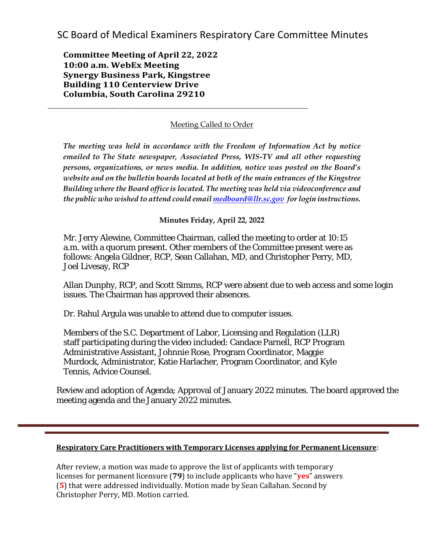SC Board of Medical Examiners Respiratory Care Committee Minutes

**Committee Meeting of April 22, 2022 10:00 a.m. WebEx Meeting Synergy Business Park, Kingstree Building 110 Centerview Drive Columbia, South Carolina 29210**

## Meeting Called to Order

*The meeting was held in accordance with the Freedom of Information Act by notice emailed to The State newspaper, Associated Press, WIS-TV and all other requesting persons, organizations, or news media. In addition, notice was posted on the Board's website and on the bulletin boards located at both of the main entrances of the Kingstree Building where the Board office is located. The meeting was held via videoconference and the public who wished to attend could emai[l medboard@llr.sc.gov](mailto:medboard@llr.sc.gov) for login instructions.*

**Minutes Friday, April 22, 2022**

Mr. Jerry Alewine, Committee Chairman, called the meeting to order at 10:15 a.m. with a quorum present. Other members of the Committee present were as follows: Angela Gildner, RCP, Sean Callahan, MD, and Christopher Perry, MD, Joel Livesay, RCP

Allan Dunphy, RCP, and Scott Simms, RCP were absent due to web access and some login issues. The Chairman has approved their absences.

Dr. Rahul Argula was unable to attend due to computer issues.

Members of the S.C. Department of Labor, Licensing and Regulation (LLR) staff participating during the video included: Candace Parnell, RCP Program Administrative Assistant, Johnnie Rose, Program Coordinator, Maggie Murdock, Administrator, Katie Harlacher, Program Coordinator, and Kyle Tennis, Advice Counsel.

Review and adoption of Agenda; Approval of January 2022 minutes. The board approved the meeting agenda and the January 2022 minutes.

## **Respiratory Care Practitioners with Temporary Licenses applying for Permanent Licensure**:

After review, a motion was made to approve the list of applicants with temporary licenses for permanent licensure (**79**) to include applicants who have "**yes**" answers (**5**) that were addressed individually. Motion made by Sean Callahan. Second by Christopher Perry, MD. Motion carried.